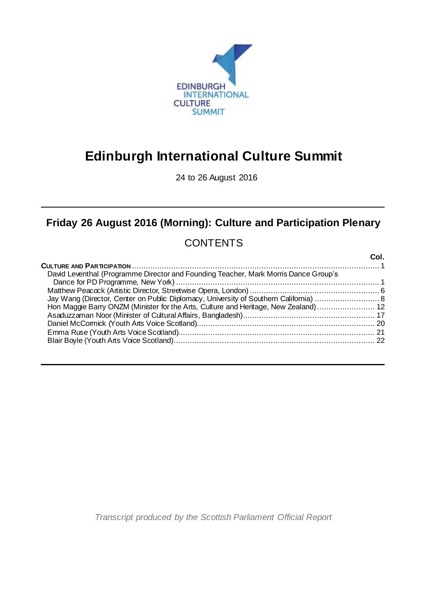

# **Edinburgh International Culture Summit**

24 to 26 August 2016

## **Friday 26 August 2016 (Morning): Culture and Participation Plenary**

## **CONTENTS**

|                                                                                      | Col. |
|--------------------------------------------------------------------------------------|------|
|                                                                                      |      |
| David Leventhal (Programme Director and Founding Teacher, Mark Morris Dance Group's  |      |
|                                                                                      |      |
|                                                                                      |      |
| Hon Maggie Barry ONZM (Minister for the Arts, Culture and Heritage, New Zealand)  12 |      |
|                                                                                      |      |
|                                                                                      |      |
|                                                                                      |      |
|                                                                                      |      |

*Transcript produced by the Scottish Parliament Official Report*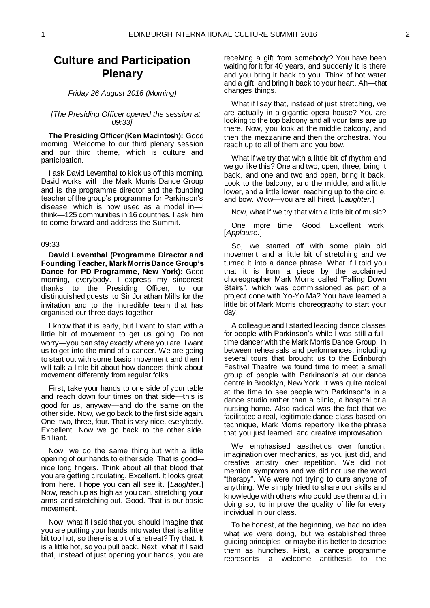### **Culture and Participation Plenary**

#### *Friday 26 August 2016 (Morning)*

#### *[The Presiding Officer opened the session at 09:33]*

**The Presiding Officer (Ken Macintosh):** Good morning. Welcome to our third plenary session and our third theme, which is culture and participation.

I ask David Leventhal to kick us off this morning. David works with the Mark Morris Dance Group and is the programme director and the founding teacher of the group's programme for Parkinson's disease, which is now used as a model in—I think—125 communities in 16 countries. I ask him to come forward and address the Summit.

#### 09:33

<span id="page-2-0"></span>**David Leventhal (Programme Director and Founding Teacher, Mark Morris Dance Group's Dance for PD Programme, New York):** Good morning, everybody. I express my sincerest thanks to the Presiding Officer, to our distinguished guests, to Sir Jonathan Mills for the invitation and to the incredible team that has organised our three days together.

I know that it is early, but I want to start with a little bit of movement to get us going. Do not worry—you can stay exactly where you are. I want us to get into the mind of a dancer. We are going to start out with some basic movement and then I will talk a little bit about how dancers think about movement differently from regular folks.

First, take your hands to one side of your table and reach down four times on that side—this is good for us, anyway—and do the same on the other side. Now, we go back to the first side again. One, two, three, four. That is very nice, everybody. Excellent. Now we go back to the other side. Brilliant.

Now, we do the same thing but with a little opening of our hands to either side. That is good nice long fingers. Think about all that blood that you are getting circulating. Excellent. It looks great from here. I hope you can all see it. [*Laughter*.] Now, reach up as high as you can, stretching your arms and stretching out. Good. That is our basic movement.

Now, what if I said that you should imagine that you are putting your hands into water that is a little bit too hot, so there is a bit of a retreat? Try that. It is a little hot, so you pull back. Next, what if I said that, instead of just opening your hands, you are

receiving a gift from somebody? You have been waiting for it for 40 years, and suddenly it is there and you bring it back to you. Think of hot water and a gift, and bring it back to your heart. Ah—that changes things.

What if I say that, instead of just stretching, we are actually in a gigantic opera house? You are looking to the top balcony and all your fans are up there. Now, you look at the middle balcony, and then the mezzanine and then the orchestra. You reach up to all of them and you bow.

What if we try that with a little bit of rhythm and we go like this? One and two, open, three, bring it back, and one and two and open, bring it back. Look to the balcony, and the middle, and a little lower, and a little lower, reaching up to the circle, and bow. Wow—you are all hired. [*Laughter*.]

Now, what if we try that with a little bit of music?

One more time. Good. Excellent work. [*Applause*.]

So, we started off with some plain old movement and a little bit of stretching and we turned it into a dance phrase. What if I told you that it is from a piece by the acclaimed choreographer Mark Morris called "Falling Down Stairs", which was commissioned as part of a project done with Yo-Yo Ma? You have learned a little bit of Mark Morris choreography to start your day.

A colleague and I started leading dance classes for people with Parkinson's while I was still a fulltime dancer with the Mark Morris Dance Group. In between rehearsals and performances, including several tours that brought us to the Edinburgh Festival Theatre, we found time to meet a small group of people with Parkinson's at our dance centre in Brooklyn, New York. It was quite radical at the time to see people with Parkinson's in a dance studio rather than a clinic, a hospital or a nursing home. Also radical was the fact that we facilitated a real, legitimate dance class based on technique, Mark Morris repertory like the phrase that you just learned, and creative improvisation.

We emphasised aesthetics over function, imagination over mechanics, as you just did, and creative artistry over repetition. We did not mention symptoms and we did not use the word "therapy". We were not trying to cure anyone of anything. We simply tried to share our skills and knowledge with others who could use them and, in doing so, to improve the quality of life for every individual in our class.

To be honest, at the beginning, we had no idea what we were doing, but we established three guiding principles, or maybe it is better to describe them as hunches. First, a dance programme represents a welcome antithesis to the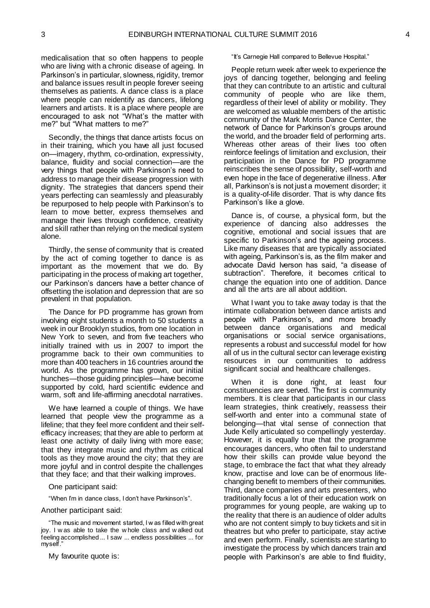medicalisation that so often happens to people who are living with a chronic disease of ageing. In Parkinson's in particular, slowness, rigidity, tremor and balance issues result in people forever seeing themselves as patients. A dance class is a place where people can reidentify as dancers, lifelong learners and artists. It is a place where people are encouraged to ask not "What's the matter with me?" but "What matters to me?"

Secondly, the things that dance artists focus on in their training, which you have all just focused on—imagery, rhythm, co-ordination, expressivity, balance, fluidity and social connection—are the very things that people with Parkinson's need to address to manage their disease progression with dignity. The strategies that dancers spend their years perfecting can seamlessly and pleasurably be repurposed to help people with Parkinson's to learn to move better, express themselves and manage their lives through confidence, creativity and skill rather than relying on the medical system alone.

Thirdly, the sense of community that is created by the act of coming together to dance is as important as the movement that we do. By participating in the process of making art together, our Parkinson's dancers have a better chance of offsetting the isolation and depression that are so prevalent in that population.

The Dance for PD programme has grown from involving eight students a month to 50 students a week in our Brooklyn studios, from one location in New York to seven, and from five teachers who initially trained with us in 2007 to import the programme back to their own communities to more than 400 teachers in 16 countries around the world. As the programme has grown, our initial hunches—those guiding principles—have become supported by cold, hard scientific evidence and warm, soft and life-affirming anecdotal narratives.

We have learned a couple of things. We have learned that people view the programme as a lifeline; that they feel more confident and their selfefficacy increases; that they are able to perform at least one activity of daily living with more ease; that they integrate music and rhythm as critical tools as they move around the city; that they are more joyful and in control despite the challenges that they face; and that their walking improves.

One participant said:

"When I'm in dance class, I don't have Parkinson's".

Another participant said:

"The music and movement started, I w as filled with great joy. I w as able to take the w hole class and w alked out feeling accomplished ... I saw ... endless possibilities ... for myself.

My favourite quote is:

"It's Carnegie Hall compared to Bellevue Hospital."

People return week after week to experience the joys of dancing together, belonging and feeling that they can contribute to an artistic and cultural community of people who are like them, regardless of their level of ability or mobility. They are welcomed as valuable members of the artistic community of the Mark Morris Dance Center, the network of Dance for Parkinson's groups around the world, and the broader field of performing arts. Whereas other areas of their lives too often reinforce feelings of limitation and exclusion, their participation in the Dance for PD programme reinscribes the sense of possibility, self-worth and even hope in the face of degenerative illness. After all, Parkinson's is not just a movement disorder; it is a quality-of-life disorder. That is why dance fits Parkinson's like a glove.

Dance is, of course, a physical form, but the experience of dancing also addresses the cognitive, emotional and social issues that are specific to Parkinson's and the ageing process. Like many diseases that are typically associated with ageing, Parkinson's is, as the film maker and advocate David Iverson has said, "a disease of subtraction". Therefore, it becomes critical to change the equation into one of addition. Dance and all the arts are all about addition.

What I want you to take away today is that the intimate collaboration between dance artists and people with Parkinson's, and more broadly between dance organisations and medical organisations or social service organisations, represents a robust and successful model for how all of us in the cultural sector can leverage existing resources in our communities to address significant social and healthcare challenges.

When it is done right, at least four constituencies are served. The first is community members. It is clear that participants in our class learn strategies, think creatively, reassess their self-worth and enter into a communal state of belonging—that vital sense of connection that Jude Kelly articulated so compellingly yesterday. However, it is equally true that the programme encourages dancers, who often fail to understand how their skills can provide value beyond the stage, to embrace the fact that what they already know, practise and love can be of enormous lifechanging benefit to members of their communities. Third, dance companies and arts presenters, who traditionally focus a lot of their education work on programmes for young people, are waking up to the reality that there is an audience of older adults who are not content simply to buy tickets and sit in theatres but who prefer to participate, stay active and even perform. Finally, scientists are starting to investigate the process by which dancers train and people with Parkinson's are able to find fluidity,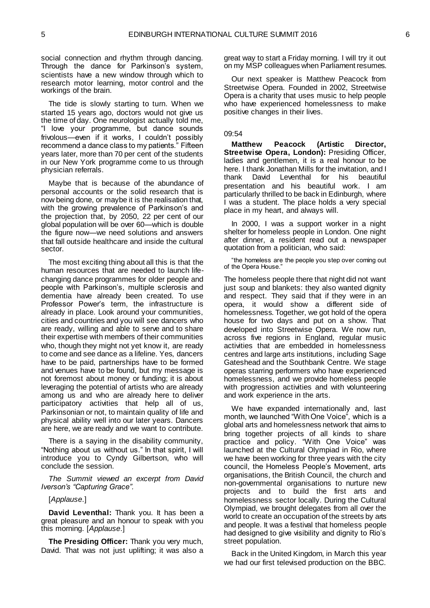social connection and rhythm through dancing. Through the dance for Parkinson's system, scientists have a new window through which to research motor learning, motor control and the workings of the brain.

The tide is slowly starting to turn. When we started 15 years ago, doctors would not give us the time of day. One neurologist actually told me, "I love your programme, but dance sounds frivolous—even if it works, I couldn't possibly recommend a dance class to my patients." Fifteen years later, more than 70 per cent of the students in our New York programme come to us through physician referrals.

Maybe that is because of the abundance of personal accounts or the solid research that is now being done, or maybe it is the realisation that, with the growing prevalence of Parkinson's and the projection that, by 2050, 22 per cent of our global population will be over 60—which is double the figure now—we need solutions and answers that fall outside healthcare and inside the cultural sector.

The most exciting thing about all this is that the human resources that are needed to launch lifechanging dance programmes for older people and people with Parkinson's, multiple sclerosis and dementia have already been created. To use Professor Power's term, the infrastructure is already in place. Look around your communities, cities and countries and you will see dancers who are ready, willing and able to serve and to share their expertise with members of their communities who, though they might not yet know it, are ready to come and see dance as a lifeline. Yes, dancers have to be paid, partnerships have to be formed and venues have to be found, but my message is not foremost about money or funding; it is about leveraging the potential of artists who are already among us and who are already here to deliver participatory activities that help all of us, Parkinsonian or not, to maintain quality of life and physical ability well into our later years. Dancers are here, we are ready and we want to contribute.

There is a saying in the disability community, "Nothing about us without us." In that spirit, I will introduce you to Cyndy Gilbertson, who will conclude the session.

*The Summit viewed an excerpt from David Iverson's "Capturing Grace".*

[*Applause*.]

**David Leventhal:** Thank you. It has been a great pleasure and an honour to speak with you this morning. [*Applause*.]

**The Presiding Officer:** Thank you very much, David. That was not just uplifting; it was also a great way to start a Friday morning. I will try it out on my MSP colleagues when Parliament resumes.

Our next speaker is Matthew Peacock from Streetwise Opera. Founded in 2002, Streetwise Opera is a charity that uses music to help people who have experienced homelessness to make positive changes in their lives.

#### 09:54

<span id="page-4-0"></span>**Matthew Peacock (Artistic Director, Streetwise Opera, London):** Presiding Officer, ladies and gentlemen, it is a real honour to be here. I thank Jonathan Mills for the invitation, and I thank David Leventhal for his beautiful presentation and his beautiful work. I am particularly thrilled to be back in Edinburgh, where I was a student. The place holds a very special place in my heart, and always will.

In 2000, I was a support worker in a night shelter for homeless people in London. One night after dinner, a resident read out a newspaper quotation from a politician, who said:

"the homeless are the people you step over coming out of the Opera House."

The homeless people there that night did not want just soup and blankets: they also wanted dignity and respect. They said that if they were in an opera, it would show a different side of homelessness. Together, we got hold of the opera house for two days and put on a show. That developed into Streetwise Opera. We now run, across five regions in England, regular music activities that are embedded in homelessness centres and large arts institutions, including Sage Gateshead and the Southbank Centre. We stage operas starring performers who have experienced homelessness, and we provide homeless people with progression activities and with volunteering and work experience in the arts.

We have expanded internationally and, last month, we launched "With One Voice", which is a global arts and homelessness network that aims to bring together projects of all kinds to share practice and policy. "With One Voice" was launched at the Cultural Olympiad in Rio, where we have been working for three years with the city council, the Homeless People's Movement, arts organisations, the British Council, the church and non-governmental organisations to nurture new projects and to build the first arts and homelessness sector locally. During the Cultural Olympiad, we brought delegates from all over the world to create an occupation of the streets by arts and people. It was a festival that homeless people had designed to give visibility and dignity to Rio's street population.

Back in the United Kingdom, in March this year we had our first televised production on the BBC.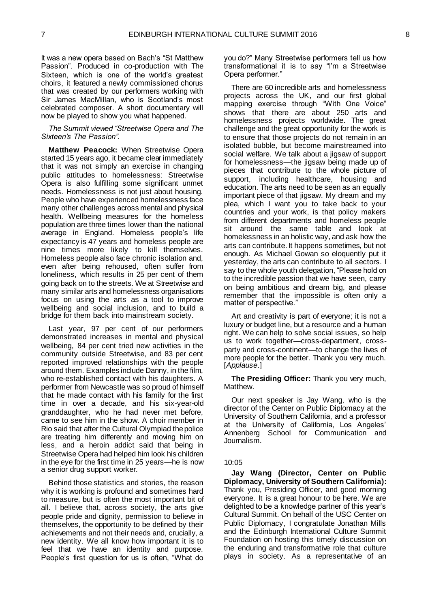It was a new opera based on Bach's "St Matthew Passion". Produced in co-production with The Sixteen, which is one of the world's greatest choirs, it featured a newly commissioned chorus that was created by our performers working with Sir James MacMillan, who is Scotland's most celebrated composer. A short documentary will now be played to show you what happened.

#### *The Summit viewed "Streetwise Opera and The Sixteen's The Passion".*

**Matthew Peacock:** When Streetwise Opera started 15 years ago, it became clear immediately that it was not simply an exercise in changing public attitudes to homelessness: Streetwise Opera is also fulfilling some significant unmet needs. Homelessness is not just about housing. People who have experienced homelessness face many other challenges across mental and physical health. Wellbeing measures for the homeless population are three times lower than the national average in England. Homeless people's life expectancy is 47 years and homeless people are nine times more likely to kill themselves. Homeless people also face chronic isolation and, even after being rehoused, often suffer from loneliness, which results in 25 per cent of them going back on to the streets. We at Streetwise and many similar arts and homelessness organisations focus on using the arts as a tool to improve wellbeing and social inclusion, and to build a bridge for them back into mainstream society.

Last year, 97 per cent of our performers demonstrated increases in mental and physical wellbeing, 84 per cent tried new activities in the community outside Streetwise, and 83 per cent reported improved relationships with the people around them. Examples include Danny, in the film, who re-established contact with his daughters. A performer from Newcastle was so proud of himself that he made contact with his family for the first time in over a decade, and his six-year-old granddaughter, who he had never met before, came to see him in the show. A choir member in Rio said that after the Cultural Olympiad the police are treating him differently and moving him on less, and a heroin addict said that being in Streetwise Opera had helped him look his children in the eye for the first time in 25 years—he is now a senior drug support worker.

Behind those statistics and stories, the reason why it is working is profound and sometimes hard to measure, but is often the most important bit of all. I believe that, across society, the arts give people pride and dignity, permission to believe in themselves, the opportunity to be defined by their achievements and not their needs and, crucially, a new identity. We all know how important it is to feel that we have an identity and purpose. People's first question for us is often, "What do

you do?" Many Streetwise performers tell us how transformational it is to say "I'm a Streetwise Opera performer."

There are 60 incredible arts and homelessness projects across the UK, and our first global mapping exercise through "With One Voice" shows that there are about 250 arts and homelessness projects worldwide. The great challenge and the great opportunity for the work is to ensure that those projects do not remain in an isolated bubble, but become mainstreamed into social welfare. We talk about a jigsaw of support for homelessness—the jigsaw being made up of pieces that contribute to the whole picture of support, including healthcare, housing and education. The arts need to be seen as an equally important piece of that jigsaw. My dream and my plea, which I want you to take back to your countries and your work, is that policy makers from different departments and homeless people sit around the same table and look at homelessness in an holistic way, and ask how the arts can contribute. It happens sometimes, but not enough. As Michael Gowan so eloquently put it yesterday, the arts can contribute to all sectors. I say to the whole youth delegation, "Please hold on to the incredible passion that we have seen, carry on being ambitious and dream big, and please remember that the impossible is often only a matter of perspective."

Art and creativity is part of everyone; it is not a luxury or budget line, but a resource and a human right. We can help to solve social issues, so help us to work together—cross-department, crossparty and cross-continent—to change the lives of more people for the better. Thank you very much. [*Applause*.]

**The Presiding Officer:** Thank you very much, Matthew.

Our next speaker is Jay Wang, who is the director of the Center on Public Diplomacy at the University of Southern California, and a professor at the University of California, Los Angeles' Annenberg School for Communication and Journalism.

#### 10:05

<span id="page-5-0"></span>**Jay Wang (Director, Center on Public Diplomacy, University of Southern California):**  Thank you, Presiding Officer, and good morning everyone. It is a great honour to be here. We are delighted to be a knowledge partner of this year's Cultural Summit. On behalf of the USC Center on Public Diplomacy, I congratulate Jonathan Mills and the Edinburgh International Culture Summit Foundation on hosting this timely discussion on the enduring and transformative role that culture plays in society. As a representative of an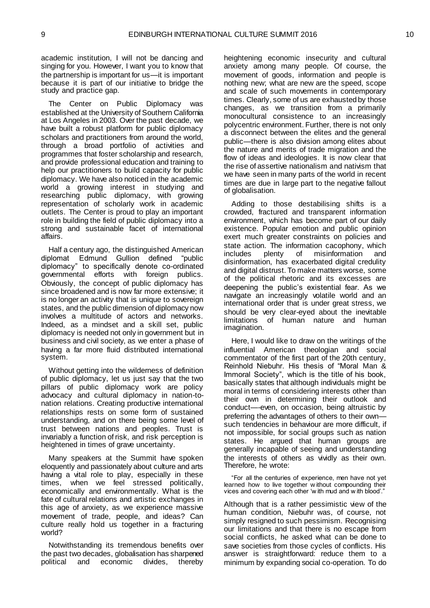academic institution, I will not be dancing and singing for you. However, I want you to know that the partnership is important for us—it is important because it is part of our initiative to bridge the study and practice gap.

The Center on Public Diplomacy was established at the University of Southern California at Los Angeles in 2003. Over the past decade, we have built a robust platform for public diplomacy scholars and practitioners from around the world, through a broad portfolio of activities and programmes that foster scholarship and research, and provide professional education and training to help our practitioners to build capacity for public diplomacy. We have also noticed in the academic world a growing interest in studying and researching public diplomacy, with growing representation of scholarly work in academic outlets. The Center is proud to play an important role in building the field of public diplomacy into a strong and sustainable facet of international affairs.

Half a century ago, the distinguished American diplomat Edmund Gullion defined "public diplomacy" to specifically denote co-ordinated governmental efforts with foreign publics. Obviously, the concept of public diplomacy has since broadened and is now far more extensive; it is no longer an activity that is unique to sovereign states, and the public dimension of diplomacy now involves a multitude of actors and networks. Indeed, as a mindset and a skill set, public diplomacy is needed not only in government but in business and civil society, as we enter a phase of having a far more fluid distributed international system.

Without getting into the wilderness of definition of public diplomacy, let us just say that the two pillars of public diplomacy work are policy advocacy and cultural diplomacy in nation-tonation relations. Creating productive international relationships rests on some form of sustained understanding, and on there being some level of trust between nations and peoples. Trust is invariably a function of risk, and risk perception is heightened in times of grave uncertainty.

Many speakers at the Summit have spoken eloquently and passionately about culture and arts having a vital role to play, especially in these times, when we feel stressed politically, economically and environmentally. What is the fate of cultural relations and artistic exchanges in this age of anxiety, as we experience massive movement of trade, people, and ideas? Can culture really hold us together in a fracturing world?

Notwithstanding its tremendous benefits over the past two decades, globalisation has sharpened political and economic divides, thereby

heightening economic insecurity and cultural anxiety among many people. Of course, the movement of goods, information and people is nothing new; what are new are the speed, scope and scale of such movements in contemporary times. Clearly, some of us are exhausted by those changes, as we transition from a primarily monocultural consistence to an increasingly polycentric environment. Further, there is not only a disconnect between the elites and the general public—there is also division among elites about the nature and merits of trade migration and the flow of ideas and ideologies. It is now clear that the rise of assertive nationalism and nativism that we have seen in many parts of the world in recent times are due in large part to the negative fallout of globalisation.

Adding to those destabilising shifts is a crowded, fractured and transparent information environment, which has become part of our daily existence. Popular emotion and public opinion exert much greater constraints on policies and state action. The information cacophony, which<br>includes plenty of misinformation and includes plenty of misinformation and disinformation, has exacerbated digital credulity and digital distrust. To make matters worse, some of the political rhetoric and its excesses are deepening the public's existential fear. As we navigate an increasingly volatile world and an international order that is under great stress, we should be very clear-eyed about the inevitable limitations of human nature and human imagination.

Here, I would like to draw on the writings of the influential American theologian and social commentator of the first part of the 20th century, Reinhold Niebuhr. His thesis of "Moral Man & Immoral Society", which is the title of his book, basically states that although individuals might be moral in terms of considering interests other than their own in determining their outlook and conduct—-even, on occasion, being altruistic by preferring the advantages of others to their own such tendencies in behaviour are more difficult, if not impossible, for social groups such as nation states. He argued that human groups are generally incapable of seeing and understanding the interests of others as vividly as their own. Therefore, he wrote:

"For all the centuries of experience, men have not yet learned how to live together w ithout compounding their vices and covering each other 'w ith mud and w ith blood'."

Although that is a rather pessimistic view of the human condition, Niebuhr was, of course, not simply resigned to such pessimism. Recognising our limitations and that there is no escape from social conflicts, he asked what can be done to save societies from those cycles of conflicts. His answer is straightforward: reduce them to a minimum by expanding social co-operation. To do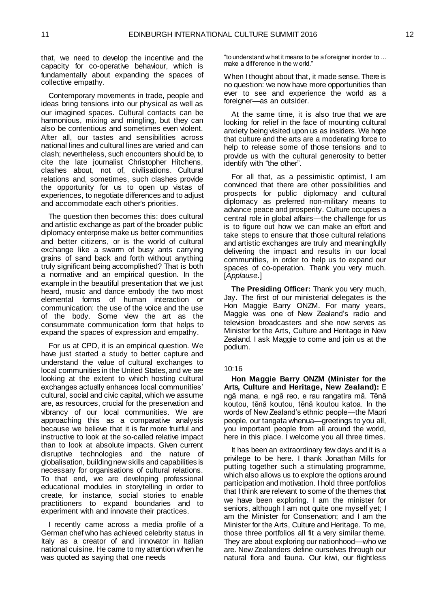that, we need to develop the incentive and the capacity for co-operative behaviour, which is fundamentally about expanding the spaces of collective empathy.

Contemporary movements in trade, people and ideas bring tensions into our physical as well as our imagined spaces. Cultural contacts can be harmonious, mixing and mingling, but they can also be contentious and sometimes even violent. After all, our tastes and sensibilities across national lines and cultural lines are varied and can clash; nevertheless, such encounters should be, to cite the late journalist Christopher Hitchens, clashes about, not of, civilisations. Cultural relations and, sometimes, such clashes provide the opportunity for us to open up vistas of experiences, to negotiate differences and to adjust and accommodate each other's priorities.

The question then becomes this: does cultural and artistic exchange as part of the broader public diplomacy enterprise make us better communities and better citizens, or is the world of cultural exchange like a swarm of busy ants carrying grains of sand back and forth without anything truly significant being accomplished? That is both a normative and an empirical question. In the example in the beautiful presentation that we just heard, music and dance embody the two most elemental forms of human interaction or communication: the use of the voice and the use of the body. Some view the art as the consummate communication form that helps to expand the spaces of expression and empathy.

For us at CPD, it is an empirical question. We have just started a study to better capture and understand the value of cultural exchanges to local communities in the United States, and we are looking at the extent to which hosting cultural exchanges actually enhances local communities' cultural, social and civic capital, which we assume are, as resources, crucial for the preservation and vibrancy of our local communities. We are approaching this as a comparative analysis because we believe that it is far more fruitful and instructive to look at the so-called relative impact than to look at absolute impacts. Given current disruptive technologies and the nature of globalisation, building new skills and capabilities is necessary for organisations of cultural relations. To that end, we are developing professional educational modules in storytelling in order to create, for instance, social stories to enable practitioners to expand boundaries and to experiment with and innovate their practices.

I recently came across a media profile of a German chef who has achieved celebrity status in Italy as a creator of and innovator in Italian national cuisine. He came to my attention when he was quoted as saying that one needs

"to understand w hat it means to be a foreigner in order to ... make a difference in the w orld."

When I thought about that, it made sense. There is no question: we now have more opportunities than ever to see and experience the world as a foreigner—as an outsider.

At the same time, it is also true that we are looking for relief in the face of mounting cultural anxiety being visited upon us as insiders. We hope that culture and the arts are a moderating force to help to release some of those tensions and to provide us with the cultural generosity to better identify with "the other".

For all that, as a pessimistic optimist, I am convinced that there are other possibilities and prospects for public diplomacy and cultural diplomacy as preferred non-military means to advance peace and prosperity. Culture occupies a central role in global affairs—the challenge for us is to figure out how we can make an effort and take steps to ensure that those cultural relations and artistic exchanges are truly and meaningfully delivering the impact and results in our local communities, in order to help us to expand our spaces of co-operation. Thank you very much. [*Applause*.]

**The Presiding Officer:** Thank you very much, Jay. The first of our ministerial delegates is the Hon Maggie Barry ONZM. For many years, Maggie was one of New Zealand's radio and television broadcasters and she now serves as Minister for the Arts, Culture and Heritage in New Zealand. I ask Maggie to come and join us at the podium.

#### 10:16

<span id="page-7-0"></span>**Hon Maggie Barry ONZM (Minister for the Arts, Culture and Heritage, New Zealand):** E ngā mana, e ngā reo, e rau rangatira mā. Tēnā koutou, tēnā koutou, tēnā koutou katoa. In the words of New Zealand's ethnic people—the Maori people, our tangata whenua**—**greetings to you all, you important people from all around the world, here in this place. I welcome you all three times.

It has been an extraordinary few days and it is a privilege to be here. I thank Jonathan Mills for putting together such a stimulating programme, which also allows us to explore the options around participation and motivation. I hold three portfolios that I think are relevant to some of the themes that we have been exploring. I am the minister for seniors, although I am not quite one myself yet; I am the Minister for Conservation; and I am the Minister for the Arts, Culture and Heritage. To me, those three portfolios all fit a very similar theme. They are about exploring our nationhood—who we are. New Zealanders define ourselves through our natural flora and fauna. Our kiwi, our flightless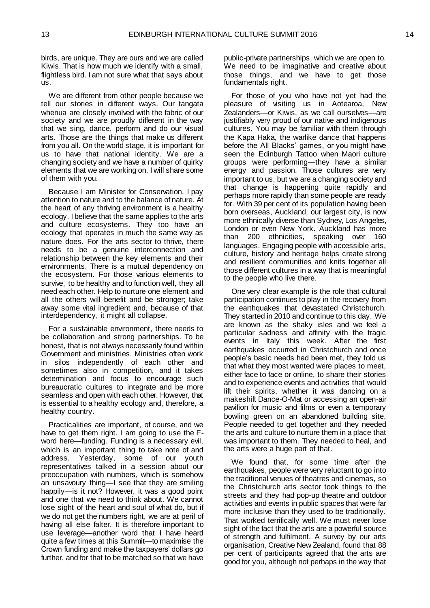birds, are unique. They are ours and we are called Kiwis. That is how much we identify with a small, flightless bird. I am not sure what that says about us.

We are different from other people because we tell our stories in different ways. Our tangata whenua are closely involved with the fabric of our society and we are proudly different in the way that we sing, dance, perform and do our visual arts. Those are the things that make us different from you all. On the world stage, it is important for us to have that national identity. We are a changing society and we have a number of quirky elements that we are working on. I will share some of them with you.

Because I am Minister for Conservation, I pay attention to nature and to the balance of nature. At the heart of any thriving environment is a healthy ecology. I believe that the same applies to the arts and culture ecosystems. They too have an ecology that operates in much the same way as nature does. For the arts sector to thrive, there needs to be a genuine interconnection and relationship between the key elements and their environments. There is a mutual dependency on the ecosystem. For those various elements to survive, to be healthy and to function well, they all need each other. Help to nurture one element and all the others will benefit and be stronger; take away some vital ingredient and, because of that interdependency, it might all collapse.

For a sustainable environment, there needs to be collaboration and strong partnerships. To be honest, that is not always necessarily found within Government and ministries. Ministries often work in silos independently of each other and sometimes also in competition, and it takes determination and focus to encourage such bureaucratic cultures to integrate and be more seamless and open with each other. However, that is essential to a healthy ecology and, therefore, a healthy country.

Practicalities are important, of course, and we have to get them right. I am going to use the Fword here—funding. Funding is a necessary evil, which is an important thing to take note of and address. Yesterday, some of our youth representatives talked in a session about our preoccupation with numbers, which is somehow an unsavoury thing—I see that they are smiling happily—is it not? However, it was a good point and one that we need to think about. We cannot lose sight of the heart and soul of what do, but if we do not get the numbers right, we are at peril of having all else falter. It is therefore important to use leverage—another word that I have heard quite a few times at this Summit—to maximise the Crown funding and make the taxpayers' dollars go further, and for that to be matched so that we have

public-private partnerships, which we are open to. We need to be imaginative and creative about those things, and we have to get those fundamentals right.

For those of you who have not yet had the pleasure of visiting us in Aotearoa, New Zealanders—or Kiwis, as we call ourselves—are justifiably very proud of our native and indigenous cultures. You may be familiar with them through the Kapa Haka, the warlike dance that happens before the All Blacks' games, or you might have seen the Edinburgh Tattoo when Maori culture groups were performing—they have a similar energy and passion. Those cultures are very important to us, but we are a changing society and that change is happening quite rapidly and perhaps more rapidly than some people are ready for. With 39 per cent of its population having been born overseas, Auckland, our largest city, is now more ethnically diverse than Sydney, Los Angeles, London or even New York. Auckland has more than 200 ethnicities, speaking over 160 languages. Engaging people with accessible arts, culture, history and heritage helps create strong and resilient communities and knits together all those different cultures in a way that is meaningful to the people who live there.

One very clear example is the role that cultural participation continues to play in the recovery from the earthquakes that devastated Christchurch. They started in 2010 and continue to this day. We are known as the shaky isles and we feel a particular sadness and affinity with the tragic events in Italy this week. After the first earthquakes occurred in Christchurch and once people's basic needs had been met, they told us that what they most wanted were places to meet, either face to face or online, to share their stories and to experience events and activities that would lift their spirits, whether it was dancing on a makeshift Dance-O-Mat or accessing an open-air pavilion for music and films or even a temporary bowling green on an abandoned building site. People needed to get together and they needed the arts and culture to nurture them in a place that was important to them. They needed to heal, and the arts were a huge part of that.

We found that, for some time after the earthquakes, people were very reluctant to go into the traditional venues of theatres and cinemas, so the Christchurch arts sector took things to the streets and they had pop-up theatre and outdoor activities and events in public spaces that were far more inclusive than they used to be traditionally. That worked terrifically well. We must never lose sight of the fact that the arts are a powerful source of strength and fulfilment. A survey by our arts organisation, Creative New Zealand, found that 88 per cent of participants agreed that the arts are good for you, although not perhaps in the way that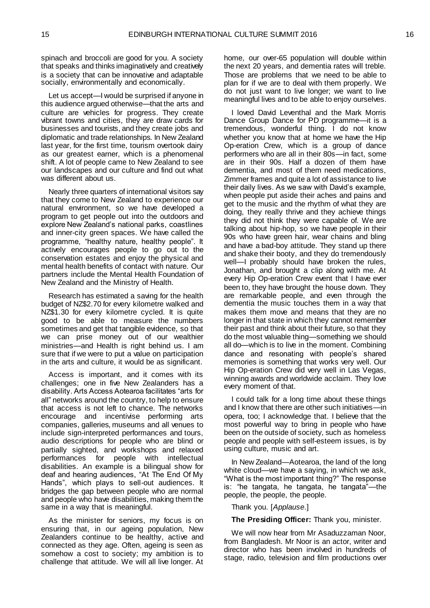spinach and broccoli are good for you. A society that speaks and thinks imaginatively and creatively is a society that can be innovative and adaptable socially, environmentally and economically.

Let us accept—I would be surprised if anyone in this audience argued otherwise—that the arts and culture are vehicles for progress. They create vibrant towns and cities, they are draw cards for businesses and tourists, and they create jobs and diplomatic and trade relationships. In New Zealand last year, for the first time, tourism overtook dairy as our greatest earner, which is a phenomenal shift. A lot of people came to New Zealand to see our landscapes and our culture and find out what was different about us.

Nearly three quarters of international visitors say that they come to New Zealand to experience our natural environment, so we have developed a program to get people out into the outdoors and explore New Zealand's national parks, coastlines and inner-city green spaces. We have called the programme, "healthy nature, healthy people". It actively encourages people to go out to the conservation estates and enjoy the physical and mental health benefits of contact with nature. Our partners include the Mental Health Foundation of New Zealand and the Ministry of Health.

Research has estimated a saving for the health budget of NZ\$2.70 for every kilometre walked and NZ\$1.30 for every kilometre cycled. It is quite good to be able to measure the numbers sometimes and get that tangible evidence, so that we can prise money out of our wealthier ministries—and Health is right behind us. I am sure that if we were to put a value on participation in the arts and culture, it would be as significant.

Access is important, and it comes with its challenges; one in five New Zealanders has a disability. Arts Access Aotearoa facilitates "arts for all" networks around the country, to help to ensure that access is not left to chance. The networks encourage and incentivise performing arts companies, galleries, museums and all venues to include sign-interpreted performances and tours, audio descriptions for people who are blind or partially sighted, and workshops and relaxed performances for people with intellectual disabilities. An example is a bilingual show for deaf and hearing audiences, "At The End Of My Hands", which plays to sell-out audiences. It bridges the gap between people who are normal and people who have disabilities, making them the same in a way that is meaningful.

As the minister for seniors, my focus is on ensuring that, in our ageing population, New Zealanders continue to be healthy, active and connected as they age. Often, ageing is seen as somehow a cost to society; my ambition is to challenge that attitude. We will all live longer. At

home, our over-65 population will double within the next 20 years, and dementia rates will treble. Those are problems that we need to be able to plan for if we are to deal with them properly. We do not just want to live longer; we want to live meaningful lives and to be able to enjoy ourselves.

I loved David Leventhal and the Mark Morris Dance Group Dance for PD programme—it is a tremendous, wonderful thing. I do not know whether you know that at home we have the Hip Op-eration Crew, which is a group of dance performers who are all in their 80s—in fact, some are in their 90s. Half a dozen of them have dementia, and most of them need medications, Zimmer frames and quite a lot of assistance to live their daily lives. As we saw with David's example, when people put aside their aches and pains and get to the music and the rhythm of what they are doing, they really thrive and they achieve things they did not think they were capable of. We are talking about hip-hop, so we have people in their 90s who have green hair, wear chains and bling and have a bad-boy attitude. They stand up there and shake their booty, and they do tremendously well—I probably should have broken the rules, Jonathan, and brought a clip along with me. At every Hip Op-eration Crew event that I have ever been to, they have brought the house down. They are remarkable people, and even through the dementia the music touches them in a way that makes them move and means that they are no longer in that state in which they cannot remember their past and think about their future, so that they do the most valuable thing—something we should all do—which is to live in the moment. Combining dance and resonating with people's shared memories is something that works very well. Our Hip Op-eration Crew did very well in Las Vegas, winning awards and worldwide acclaim. They love every moment of that.

I could talk for a long time about these things and I know that there are other such initiatives—in opera, too; I acknowledge that. I believe that the most powerful way to bring in people who have been on the outside of society, such as homeless people and people with self-esteem issues, is by using culture, music and art.

In New Zealand—Aotearoa, the land of the long white cloud—we have a saying, in which we ask, "What is the most important thing?" The response is: "he tangata, he tangata, he tangata"—the people, the people, the people.

Thank you. [*Applause*.]

**The Presiding Officer:** Thank you, minister.

We will now hear from Mr Asaduzzaman Noor, from Bangladesh. Mr Noor is an actor, writer and director who has been involved in hundreds of stage, radio, television and film productions over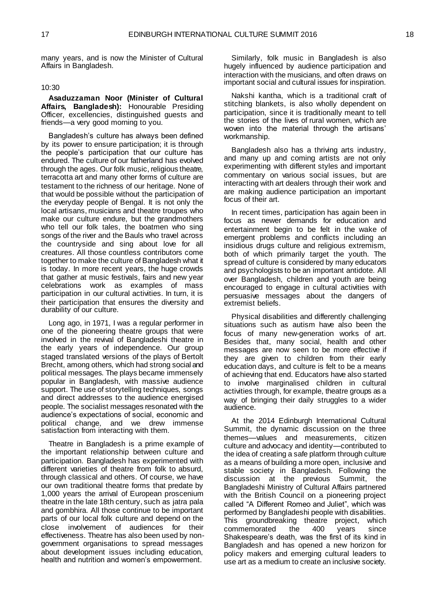many years, and is now the Minister of Cultural Affairs in Bangladesh.

#### 10:30

<span id="page-10-0"></span>**Asaduzzaman Noor (Minister of Cultural Affairs, Bangladesh):** Honourable Presiding Officer, excellencies, distinguished guests and friends—a very good morning to you.

Bangladesh's culture has always been defined by its power to ensure participation; it is through the people's participation that our culture has endured. The culture of our fatherland has evolved through the ages. Our folk music, religious theatre, terracotta art and many other forms of culture are testament to the richness of our heritage. None of that would be possible without the participation of the everyday people of Bengal. It is not only the local artisans, musicians and theatre troupes who make our culture endure, but the grandmothers who tell our folk tales, the boatmen who sing songs of the river and the Bauls who travel across the countryside and sing about love for all creatures. All those countless contributors come together to make the culture of Bangladesh what it is today. In more recent years, the huge crowds that gather at music festivals, fairs and new year celebrations work as examples of mass participation in our cultural activities. In turn, it is their participation that ensures the diversity and durability of our culture.

Long ago, in 1971, I was a regular performer in one of the pioneering theatre groups that were involved in the revival of Bangladeshi theatre in the early years of independence. Our group staged translated versions of the plays of Bertolt Brecht, among others, which had strong social and political messages. The plays became immensely popular in Bangladesh, with massive audience support. The use of storytelling techniques, songs and direct addresses to the audience energised people. The socialist messages resonated with the audience's expectations of social, economic and political change, and we drew immense satisfaction from interacting with them.

Theatre in Bangladesh is a prime example of the important relationship between culture and participation. Bangladesh has experimented with different varieties of theatre from folk to absurd, through classical and others. Of course, we have our own traditional theatre forms that predate by 1,000 years the arrival of European proscenium theatre in the late 18th century, such as jatra pala and gombhira. All those continue to be important parts of our local folk culture and depend on the close involvement of audiences for their effectiveness. Theatre has also been used by nongovernment organisations to spread messages about development issues including education, health and nutrition and women's empowerment.

Similarly, folk music in Bangladesh is also hugely influenced by audience participation and interaction with the musicians, and often draws on important social and cultural issues for inspiration.

Nakshi kantha, which is a traditional craft of stitching blankets, is also wholly dependent on participation, since it is traditionally meant to tell the stories of the lives of rural women, which are woven into the material through the artisans' workmanship.

Bangladesh also has a thriving arts industry, and many up and coming artists are not only experimenting with different styles and important commentary on various social issues, but are interacting with art dealers through their work and are making audience participation an important focus of their art.

In recent times, participation has again been in focus as newer demands for education and entertainment begin to be felt in the wake of emergent problems and conflicts including an insidious drugs culture and religious extremism, both of which primarily target the youth. The spread of culture is considered by many educators and psychologists to be an important antidote. All over Bangladesh, children and youth are being encouraged to engage in cultural activities with persuasive messages about the dangers of extremist beliefs.

Physical disabilities and differently challenging situations such as autism have also been the focus of many new-generation works of art. Besides that, many social, health and other messages are now seen to be more effective if they are given to children from their early education days, and culture is felt to be a means of achieving that end. Educators have also started to involve marginalised children in cultural activities through, for example, theatre groups as a way of bringing their daily struggles to a wider audience.

At the 2014 Edinburgh International Cultural Summit, the dynamic discussion on the three themes—values and measurements, citizen culture and advocacy and identity—contributed to the idea of creating a safe platform through culture as a means of building a more open, inclusive and stable society in Bangladesh. Following the discussion at the previous Summit, the Bangladeshi Ministry of Cultural Affairs partnered with the British Council on a pioneering project called "A Different Romeo and Juliet", which was performed by Bangladeshi people with disabilities. This groundbreaking theatre project, which commemorated the 400 years since Shakespeare's death, was the first of its kind in Bangladesh and has opened a new horizon for policy makers and emerging cultural leaders to use art as a medium to create an inclusive society.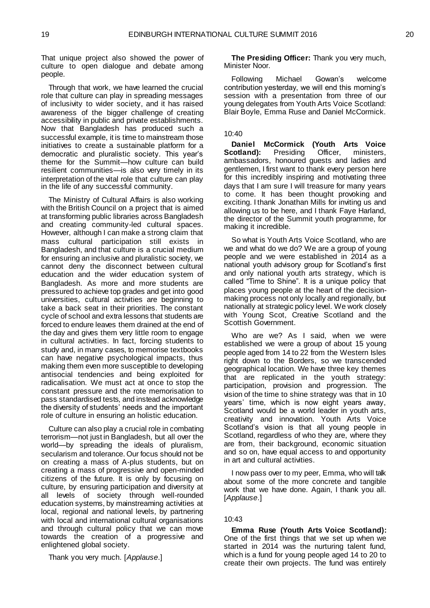That unique project also showed the power of culture to open dialogue and debate among people.

Through that work, we have learned the crucial role that culture can play in spreading messages of inclusivity to wider society, and it has raised awareness of the bigger challenge of creating accessibility in public and private establishments. Now that Bangladesh has produced such a successful example, it is time to mainstream those initiatives to create a sustainable platform for a democratic and pluralistic society. This year's theme for the Summit—how culture can build resilient communities—is also very timely in its interpretation of the vital role that culture can play in the life of any successful community.

The Ministry of Cultural Affairs is also working with the British Council on a project that is aimed at transforming public libraries across Bangladesh and creating community-led cultural spaces. However, although I can make a strong claim that mass cultural participation still exists in Bangladesh, and that culture is a crucial medium for ensuring an inclusive and pluralistic society, we cannot deny the disconnect between cultural education and the wider education system of Bangladesh. As more and more students are pressured to achieve top grades and get into good universities, cultural activities are beginning to take a back seat in their priorities. The constant cycle of school and extra lessons that students are forced to endure leaves them drained at the end of the day and gives them very little room to engage in cultural activities. In fact, forcing students to study and, in many cases, to memorise textbooks can have negative psychological impacts, thus making them even more susceptible to developing antisocial tendencies and being exploited for radicalisation. We must act at once to stop the constant pressure and the rote memorisation to pass standardised tests, and instead acknowledge the diversity of students' needs and the important role of culture in ensuring an holistic education.

Culture can also play a crucial role in combating terrorism—not just in Bangladesh, but all over the world—by spreading the ideals of pluralism, secularism and tolerance. Our focus should not be on creating a mass of A-plus students, but on creating a mass of progressive and open-minded citizens of the future. It is only by focusing on culture, by ensuring participation and diversity at all levels of society through well-rounded education systems, by mainstreaming activities at local, regional and national levels, by partnering with local and international cultural organisations and through cultural policy that we can move towards the creation of a progressive and enlightened global society.

Thank you very much. [*Applause*.]

**The Presiding Officer:** Thank you very much, Minister Noor.

Following Michael Gowan's welcome contribution yesterday, we will end this morning's session with a presentation from three of our young delegates from Youth Arts Voice Scotland: Blair Boyle, Emma Ruse and Daniel McCormick.

#### 10:40

<span id="page-11-0"></span>**Daniel McCormick (Youth Arts Voice Scotland):** Presiding Officer, ministers, ambassadors, honoured guests and ladies and gentlemen, I first want to thank every person here for this incredibly inspiring and motivating three days that I am sure I will treasure for many years to come. It has been thought provoking and exciting. I thank Jonathan Mills for inviting us and allowing us to be here, and I thank Faye Harland, the director of the Summit youth programme, for making it incredible.

So what is Youth Arts Voice Scotland, who are we and what do we do? We are a group of young people and we were established in 2014 as a national youth advisory group for Scotland's first and only national youth arts strategy, which is called "Time to Shine". It is a unique policy that places young people at the heart of the decisionmaking process not only locally and regionally, but nationally at strategic policy level. We work closely with Young Scot, Creative Scotland and the Scottish Government.

Who are we? As I said, when we were established we were a group of about 15 young people aged from 14 to 22 from the Western Isles right down to the Borders, so we transcended geographical location. We have three key themes that are replicated in the youth strategy: participation, provision and progression. The vision of the time to shine strategy was that in 10 years' time, which is now eight years away, Scotland would be a world leader in youth arts, creativity and innovation. Youth Arts Voice Scotland's vision is that all young people in Scotland, regardless of who they are, where they are from, their background, economic situation and so on, have equal access to and opportunity in art and cultural activities.

I now pass over to my peer, Emma, who will talk about some of the more concrete and tangible work that we have done. Again, I thank you all. [*Applause*.]

#### 10:43

<span id="page-11-1"></span>**Emma Ruse (Youth Arts Voice Scotland):**  One of the first things that we set up when we started in 2014 was the nurturing talent fund, which is a fund for young people aged 14 to 20 to create their own projects. The fund was entirely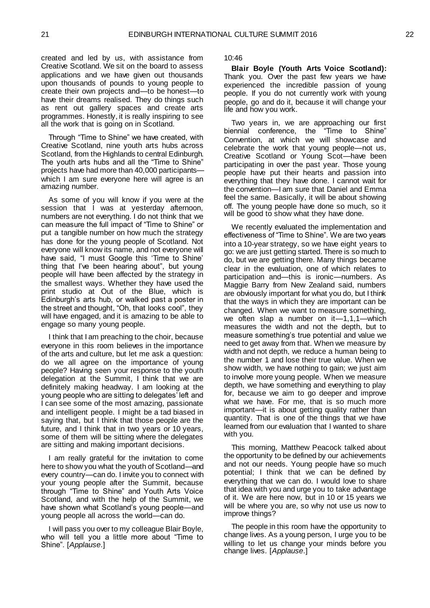created and led by us, with assistance from Creative Scotland. We sit on the board to assess applications and we have given out thousands upon thousands of pounds to young people to create their own projects and—to be honest—to have their dreams realised. They do things such as rent out gallery spaces and create arts programmes. Honestly, it is really inspiring to see all the work that is going on in Scotland.

Through "Time to Shine" we have created, with Creative Scotland, nine youth arts hubs across Scotland, from the Highlands to central Edinburgh. The youth arts hubs and all the "Time to Shine" projects have had more than 40,000 participants which I am sure everyone here will agree is an amazing number.

As some of you will know if you were at the session that I was at yesterday afternoon, numbers are not everything. I do not think that we can measure the full impact of "Time to Shine" or put a tangible number on how much the strategy has done for the young people of Scotland. Not everyone will know its name, and not everyone will have said, "I must Google this 'Time to Shine' thing that I've been hearing about", but young people will have been affected by the strategy in the smallest ways. Whether they have used the print studio at Out of the Blue, which is Edinburgh's arts hub, or walked past a poster in the street and thought, "Oh, that looks cool", they will have engaged, and it is amazing to be able to engage so many young people.

I think that I am preaching to the choir, because everyone in this room believes in the importance of the arts and culture, but let me ask a question: do we all agree on the importance of young people? Having seen your response to the youth delegation at the Summit, I think that we are definitely making headway. I am looking at the young people who are sitting to delegates' left and I can see some of the most amazing, passionate and intelligent people. I might be a tad biased in saying that, but I think that those people are the future, and I think that in two years or 10 years, some of them will be sitting where the delegates are sitting and making important decisions.

I am really grateful for the invitation to come here to show you what the youth of Scotland—and every country—can do. I invite you to connect with your young people after the Summit, because through "Time to Shine" and Youth Arts Voice Scotland, and with the help of the Summit, we have shown what Scotland's young people—and young people all across the world—can do.

I will pass you over to my colleague Blair Boyle, who will tell you a little more about "Time to Shine". [*Applause*.]

10:46

<span id="page-12-0"></span>**Blair Boyle (Youth Arts Voice Scotland):**  Thank you. Over the past few years we have experienced the incredible passion of young people. If you do not currently work with young people, go and do it, because it will change your life and how you work.

Two years in, we are approaching our first biennial conference, the "Time to Shine" Convention, at which we will showcase and celebrate the work that young people—not us, Creative Scotland or Young Scot—have been participating in over the past year. Those young people have put their hearts and passion into everything that they have done. I cannot wait for the convention—I am sure that Daniel and Emma feel the same. Basically, it will be about showing off. The young people have done so much, so it will be good to show what they have done.

We recently evaluated the implementation and effectiveness of "Time to Shine". We are two years into a 10-year strategy, so we have eight years to go: we are just getting started. There is so much to do, but we are getting there. Many things became clear in the evaluation, one of which relates to participation and—this is ironic—numbers. As Maggie Barry from New Zealand said, numbers are obviously important for what you do, but I think that the ways in which they are important can be changed. When we want to measure something, we often slap a number on it—1,1,1—which measures the width and not the depth, but to measure something's true potential and value we need to get away from that. When we measure by width and not depth, we reduce a human being to the number 1 and lose their true value. When we show width, we have nothing to gain; we just aim to involve more young people. When we measure depth, we have something and everything to play for, because we aim to go deeper and improve what we have. For me, that is so much more important—it is about getting quality rather than quantity. That is one of the things that we have learned from our evaluation that I wanted to share with you.

This morning, Matthew Peacock talked about the opportunity to be defined by our achievements and not our needs. Young people have so much potential; I think that we can be defined by everything that we can do. I would love to share that idea with you and urge you to take advantage of it. We are here now, but in 10 or 15 years we will be where you are, so why not use us now to improve things?

The people in this room have the opportunity to change lives. As a young person, I urge you to be willing to let us change your minds before you change lives. [*Applause*.]